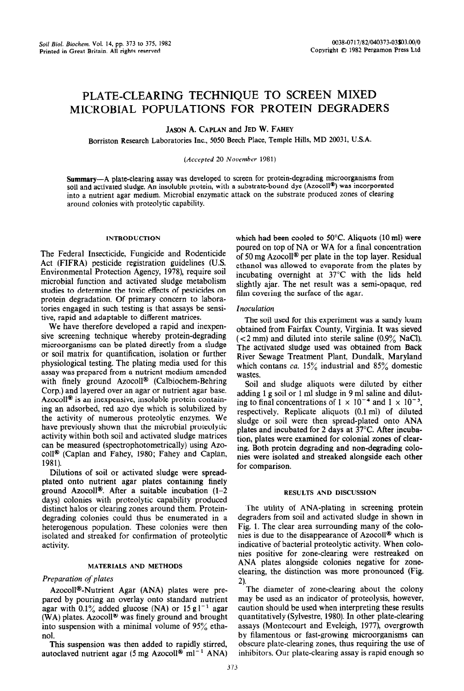# PLATE-CLEARING TECHNIQUE TO SCREEN MIXED MICROBIAL POPULATIONS FOR PROTEIN DEGRADERS

**JASON** A. CAPLAN and JED W. FAHEY

Borriston Research Laboratories Inc., 5050 Beech Place, Temple Hills, MD 20031, U.S.A.

### *(Accepted* 20 *November* 1981)

Summary-A plate-ciearing assay was developed to screen for protein-degrading microorganisms from soil and activated sludge. An insoluble protein, with a substrate-bound dye (Azocoll@) was incorporated into a nutrient agar medium. Microbial enzymatic attack on the substrate produced zones of clearing around colonies with proteolytic capability.

#### INTRODUCTION

The Federal Insecticide, Fungicide and Rodenticide Act (FIFRA) pesticide registration guidelines (U.S. Environmental Protection Agency, 1978), require soil microbial function and activated sludge metabolism studies to determine the toxic effects of pesticides on protein degradation. Of primary concern to laboratories engaged in such testing is that assays be sensitive, rapid and adaptable to different matrices.

We have therefore developed a rapid and inexpensive screening technique whereby protein-degrading microorganisms can be plated directly from a sludge or soil matrix for quantification, isolation or further physiological testing. The plating media used for this assay was prepared from a nutrient medium amended with finely ground Azocoll® (Calbiochem-Behring Corp.) and layered over an agar or nutrient agar base. Azocoll<sup>®</sup> is an inexpensive, insoluble protein containing an adsorbed, red azo dye which is solubilized by the activity of numerous proteolytic enzymes. We have previously shown that the microbial proteolytic activity within both soil and activated sludge matrices can be measured (spectrophotometrically) using Azocoll<sup>®</sup> (Caplan and Fahey, 1980; Fahey and Caplan, 1981).

Dilutions of soil or activated sludge were spreadplated onto nutrient agar plates containing finely ground Azocoll<sup>®</sup>. After a suitable incubation  $(1-2)$ days) colonies with proteolytic capability produced distinct halos or clearing zones around them. Proteindegrading colonies could thus be enumerated in a heterogenous population. These colonies were then isolated and streaked for confirmation of proteolytic activity.

#### MATERIALS AND METHODS

### *Preparation of plates*

Azocoll@-Nutrient Agar (ANA) plates were prepared by pouring an overlay onto standard nutrient agar with  $0.1\%$  added glucose (NA) or  $15 \text{ g l}^{-1}$  agar (WA) plates. Azocoll<sup>®</sup> was finely ground and brought into suspension with a minimal volume of 95% ethanol.

This suspension was then added to rapidly stirred, autoclaved nutrient agar (5 mg Azocoll<sup>®</sup> ml<sup>-1</sup> ANA) which had been cooled to 50°C. Aliquots (10 ml) were poured on top of NA or WA for a final concentration of 50 mg Azocoll@ per plate in the top layer. Residual ethanol was allowed to evaporate from the plates by incubating overnight at 37°C with the lids held slightly ajar. The net result was a semi-opaque, red film covering the surface of the agar.

#### *Inoculation*

The soil used for this experiment was a sandy loam obtained from Fairfax County, Virginia. It was sieved  $(< 2$  mm) and diluted into sterile saline  $(0.9\%$  NaCl). The activated sludge used was obtained from Back River Sewage Treatment Plant, Dundalk, Maryland which contans *ca.* 15% industrial and 85% domestic wastes.

Soil and sludge aliquots were diluted by either adding 1 g soil or 1 ml sludge in 9 ml saline and diluting to final concentrations of  $1 \times 10^{-4}$  and  $1 \times 10^{-5}$ , respectively. Replicate aliquots (0.1 ml) of diluted sludge or soil were then spread-plated onto ANA plates and incubated for 2 days at 37°C. After incubation, plates were examined for colonial zones of clearing. Both protein degrading and non-degrading colonies were isolated and streaked alongside each other for comparison.

#### RESULTS AND DISCUSSION

The utility of ANA-plating in screening protein degraders from soil and activated sludge in shown in Fig. 1. The clear area surrounding many of the colonies is due to the disappearance of Azocoll® which is indicative of bacterial proteolytic activity. When colonies positive for zone-clearing were restreaked on ANA plates alongside colonies negative for zoneclearing, the distinction was more pronounced (Fig. 2).

The diameter of zone-clearing about the colony may be used as an indicator of proteolysis, however, caution should be used when interpreting these results quantitatively (Sylvestre, 1980). In other plate-clearing assays (Montecourt and Eveleigh, 1977), overgrowth by filamentous or fast-growing microorganisms can obscure plate-clearing zones, thus requiring the use of inhibitors. Our plate-clearing assay is rapid enough so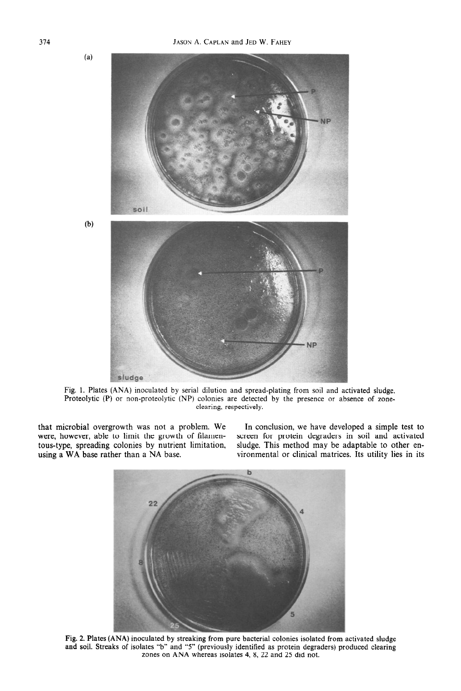$(a)$ 

 $(b)$ 



Fig. 1. Plates (ANA) inoculated by serial dilution and spread-plating from soil and activated sludge. Proteolytic (P) or non-proteolytic (NP) colonies are detected by the presence or absence of zoneclearing, respectively.

that microbial overgrowth was not a problem. We were, however, able to limit the growth of filamentous-type, spreading colonies by nutrient limitation, using a WA base rather than a NA base. using a WA base rather than a NA base.  $\qquad \qquad \text{vironmental or clinical matrices.}$  Its utility lies in its

In conclusion, we have developed a simple test to screen for protein degraders in soil and activated sludge. This method may be adaptable to other en-



Fig. 2. Plates (ANA) inoculated by streaking from pure bacterial colonies isolated from activated sludge and soil. Streaks of isolates "b" and "5" (previously identified as protein degraders) produced clearing zones on ANA whereas isolates 4, 8, 22 and 25 did not.